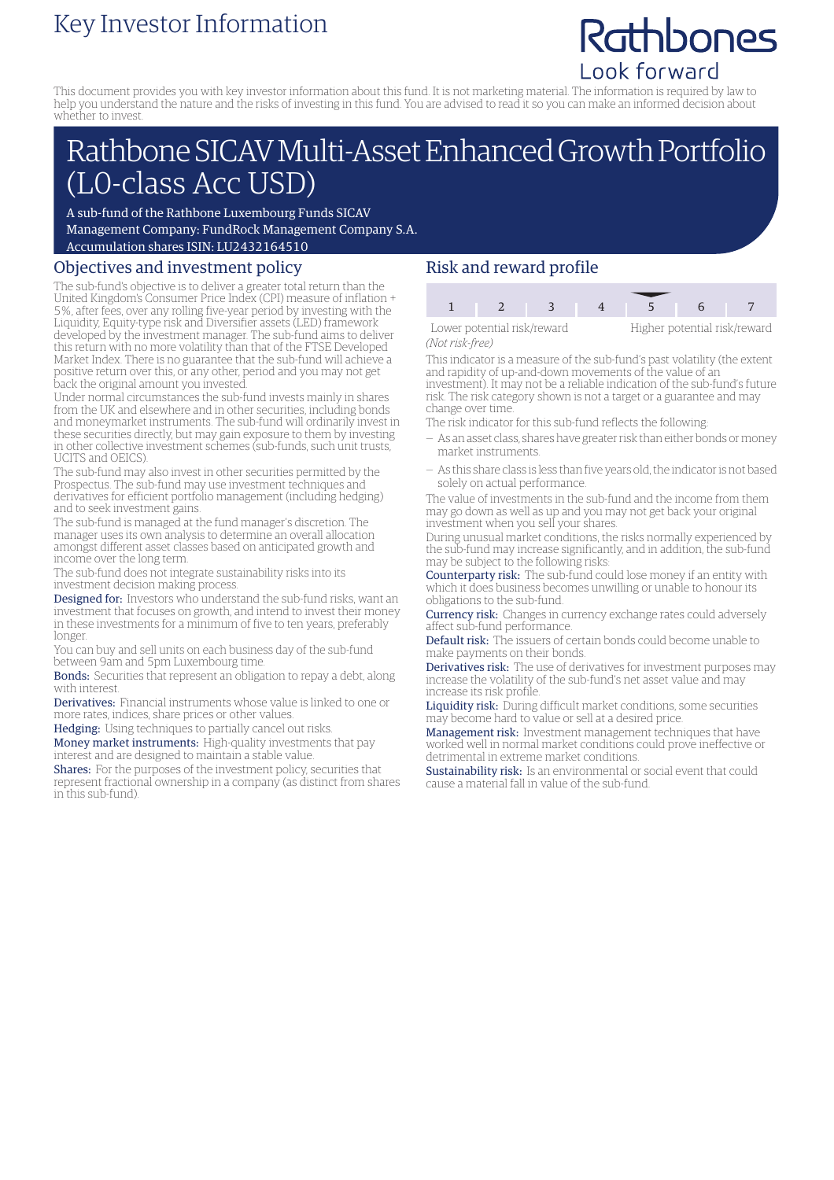# Key Investor Information

# Rathbones Look forward

This document provides you with key investor information about this fund. It is not marketing material. The information is required by law to help you understand the nature and the risks of investing in this fund. You are advised to read it so you can make an informed decision about whether to invest.

# Rathbone SICAV Multi-Asset Enhanced Growth Portfolio (L0-class Acc USD)

A sub-fund of the Rathbone Luxembourg Funds SICAV Management Company: FundRock Management Company S.A. Accumulation shares ISIN: LU2432164510

### Objectives and investment policy

The sub-fund's objective is to deliver a greater total return than the United Kingdom's Consumer Price Index (CPI) measure of inflation + 5%, after fees, over any rolling five-year period by investing with the Liquidity, Equity-type risk and Diversifier assets (LED) framework developed by the investment manager. The sub-fund aims to deliver this return with no more volatility than that of the FTSE Developed Market Index. There is no guarantee that the sub-fund will achieve a positive return over this, or any other, period and you may not get back the original amount you invested.

Under normal circumstances the sub-fund invests mainly in shares from the UK and elsewhere and in other securities, including bonds and moneymarket instruments. The sub-fund will ordinarily invest in these securities directly, but may gain exposure to them by investing in other collective investment schemes (sub-funds, such unit trusts, UCITS and OEICS).

The sub-fund may also invest in other securities permitted by the Prospectus. The sub-fund may use investment techniques and derivatives for efficient portfolio management (including hedging) and to seek investment gains.

The sub-fund is managed at the fund manager's discretion. The manager uses its own analysis to determine an overall allocation amongst different asset classes based on anticipated growth and income over the long term.

The sub-fund does not integrate sustainability risks into its investment decision making process.

Designed for: Investors who understand the sub-fund risks, want an investment that focuses on growth, and intend to invest their money in these investments for a minimum of five to ten years, preferably longer.

You can buy and sell units on each business day of the sub-fund between 9am and 5pm Luxembourg time.

Bonds: Securities that represent an obligation to repay a debt, along with interest.

Derivatives: Financial instruments whose value is linked to one or more rates, indices, share prices or other values.

Hedging: Using techniques to partially cancel out risks.

Money market instruments: High-quality investments that pay interest and are designed to maintain a stable value.

Shares: For the purposes of the investment policy, securities that represent fractional ownership in a company (as distinct from shares in this sub-fund).

## Risk and reward profile



*(Not risk-free)*

This indicator is a measure of the sub-fund's past volatility (the extent and rapidity of up-and-down movements of the value of an investment). It may not be a reliable indication of the sub-fund's future risk. The risk category shown is not a target or a guarantee and may change over time.

The risk indicator for this sub-fund reflects the following:

- As an asset class, shares have greater risk than either bonds ormoney market instruments.
- As this share class is less than five years old, the indicator is not based solely on actual performance.

The value of investments in the sub-fund and the income from them may go down as well as up and you may not get back your original investment when you sell your shares.

During unusual market conditions, the risks normally experienced by the sub-fund may increase significantly, and in addition, the sub-fund may be subject to the following risks:

Counterparty risk: The sub-fund could lose money if an entity with which it does business becomes unwilling or unable to honour its obligations to the sub-fund.

Currency risk: Changes in currency exchange rates could adversely affect sub-fund performance.

Default risk: The issuers of certain bonds could become unable to make payments on their bonds.

Derivatives risk: The use of derivatives for investment purposes may increase the volatility of the sub-fund's net asset value and may increase its risk profile.

Liquidity risk: During difficult market conditions, some securities may become hard to value or sell at a desired price.

Management risk: Investment management techniques that have worked well in normal market conditions could prove ineffective or detrimental in extreme market conditions.

Sustainability risk: Is an environmental or social event that could cause a material fall in value of the sub-fund.